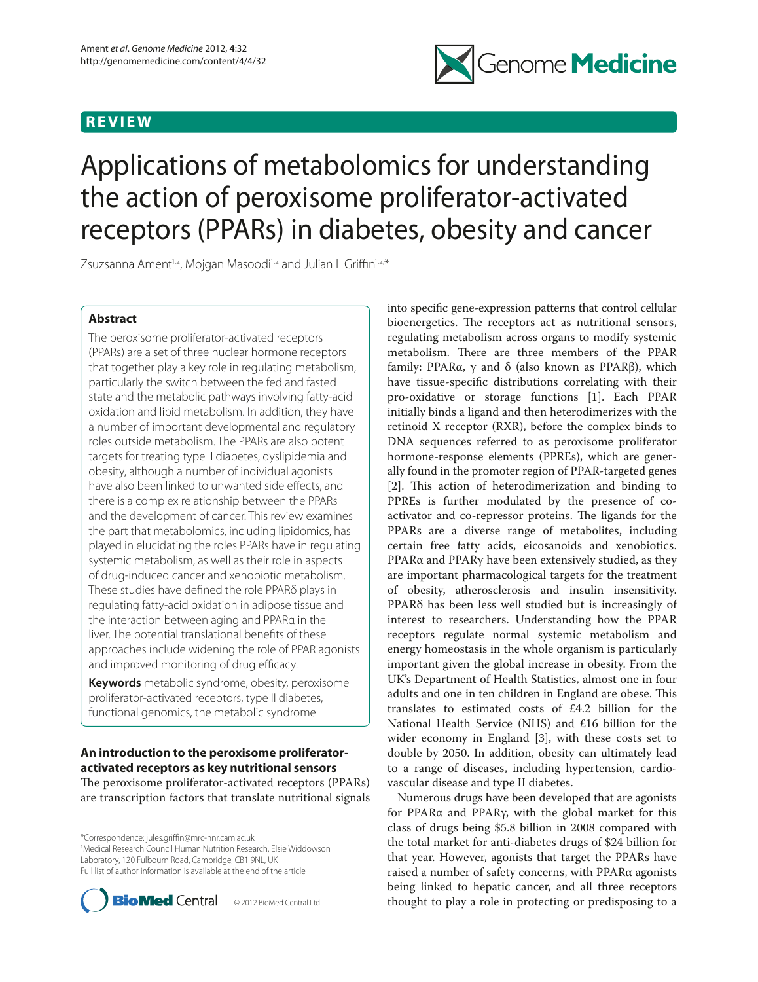## **REVIEW**



# Applications of metabolomics for understanding the action of peroxisome proliferator-activated receptors (PPARs) in diabetes, obesity and cancer

Zsuzsanna Ament<sup>1,2</sup>, Mojgan Masoodi<sup>1,2</sup> and Julian L Griffin<sup>1,2,\*</sup>

## **Abstract**

The peroxisome proliferator-activated receptors (PPARs) are a set of three nuclear hormone receptors that together play a key role in regulating metabolism, particularly the switch between the fed and fasted state and the metabolic pathways involving fatty-acid oxidation and lipid metabolism. In addition, they have a number of important developmental and regulatory roles outside metabolism. The PPARs are also potent targets for treating type II diabetes, dyslipidemia and obesity, although a number of individual agonists have also been linked to unwanted side effects, and there is a complex relationship between the PPARs and the development of cancer. This review examines the part that metabolomics, including lipidomics, has played in elucidating the roles PPARs have in regulating systemic metabolism, as well as their role in aspects of drug-induced cancer and xenobiotic metabolism. These studies have defined the role PPARδ plays in regulating fatty-acid oxidation in adipose tissue and the interaction between aging and PPARα in the liver. The potential translational benefits of these approaches include widening the role of PPAR agonists and improved monitoring of drug efficacy.

**Keywords** metabolic syndrome, obesity, peroxisome proliferator-activated receptors, type II diabetes, functional genomics, the metabolic syndrome

## **An introduction to the peroxisome proliferatoractivated receptors as key nutritional sensors**

The peroxisome proliferator-activated receptors (PPARs) are transcription factors that translate nutritional signals

\*Correspondence: jules.griffin@mrc-hnr.cam.ac.uk

1 Medical Research Council Human Nutrition Research, Elsie Widdowson Laboratory, 120 Fulbourn Road, Cambridge, CB1 9NL, UK Full list of author information is available at the end of the article



into specific gene-expression patterns that control cellular bioenergetics. The receptors act as nutritional sensors, regulating metabolism across organs to modify systemic metabolism. There are three members of the PPAR family: PPARα, γ and δ (also known as PPARβ), which have tissue-specific distributions correlating with their pro-oxidative or storage functions [1]. Each PPAR initially binds a ligand and then heterodimerizes with the retinoid X receptor (RXR), before the complex binds to DNA sequences referred to as peroxisome proliferator hormone-response elements (PPREs), which are generally found in the promoter region of PPAR-targeted genes [2]. This action of heterodimerization and binding to PPREs is further modulated by the presence of coactivator and co-repressor proteins. The ligands for the PPARs are a diverse range of metabolites, including certain free fatty acids, eicosanoids and xenobiotics. PPARα and PPARγ have been extensively studied, as they are important pharmacological targets for the treatment of obesity, atherosclerosis and insulin insensitivity. PPARδ has been less well studied but is increasingly of interest to researchers. Understanding how the PPAR receptors regulate normal systemic metabolism and energy homeostasis in the whole organism is particularly important given the global increase in obesity. From the UK's Department of Health Statistics, almost one in four adults and one in ten children in England are obese. This translates to estimated costs of £4.2 billion for the National Health Service (NHS) and £16 billion for the wider economy in England [3], with these costs set to double by 2050. In addition, obesity can ultimately lead to a range of diseases, including hypertension, cardiovascular disease and type II diabetes.

Numerous drugs have been developed that are agonists for PPARα and PPARγ, with the global market for this class of drugs being \$5.8 billion in 2008 compared with the total market for anti-diabetes drugs of \$24 billion for that year. However, agonists that target the PPARs have raised a number of safety concerns, with PPARα agonists being linked to hepatic cancer, and all three receptors thought to play a role in protecting or predisposing to a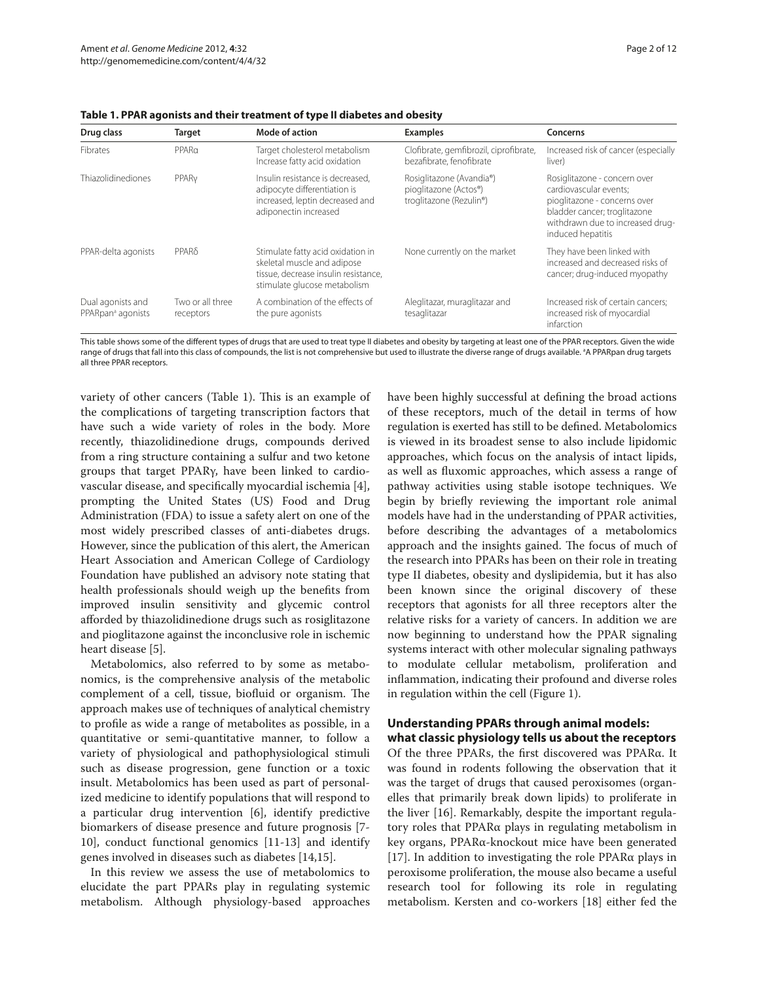| Table 1. PPAR agonists and their treatment of type II diabetes and obesity |  |
|----------------------------------------------------------------------------|--|
|----------------------------------------------------------------------------|--|

| Drug class                                         | Target                        | Mode of action                                                                                                                           | <b>Examples</b>                                                              | Concerns                                                                                                                                                                        |
|----------------------------------------------------|-------------------------------|------------------------------------------------------------------------------------------------------------------------------------------|------------------------------------------------------------------------------|---------------------------------------------------------------------------------------------------------------------------------------------------------------------------------|
| <b>Fibrates</b>                                    | PPAR <sub>0</sub>             | Target cholesterol metabolism<br>Increase fatty acid oxidation                                                                           | Clofibrate, gemfibrozil, ciprofibrate,<br>bezafibrate, fenofibrate           | Increased risk of cancer (especially<br>liver)                                                                                                                                  |
| Thiazolidinediones                                 | PPARy                         | Insulin resistance is decreased.<br>adipocyte differentiation is<br>increased, leptin decreased and<br>adiponectin increased             | Rosiglitazone (Avandia®)<br>pioglitazone (Actos®)<br>troglitazone (Rezulin®) | Rosiglitazone - concern over<br>cardiovascular events;<br>pioglitazone - concerns over<br>bladder cancer; troglitazone<br>withdrawn due to increased drug-<br>induced hepatitis |
| PPAR-delta agonists                                | PPARδ                         | Stimulate fatty acid oxidation in<br>skeletal muscle and adipose<br>tissue, decrease insulin resistance,<br>stimulate glucose metabolism | None currently on the market                                                 | They have been linked with<br>increased and decreased risks of<br>cancer; drug-induced myopathy                                                                                 |
| Dual agonists and<br>PPARpan <sup>ª</sup> agonists | Two or all three<br>receptors | A combination of the effects of<br>the pure agonists                                                                                     | Aleglitazar, muraglitazar and<br>tesaglitazar                                | Increased risk of certain cancers;<br>increased risk of myocardial<br>infarction                                                                                                |

This table shows some of the different types of drugs that are used to treat type II diabetes and obesity by targeting at least one of the PPAR receptors. Given the wide range of drugs that fall into this class of compounds, the list is not comprehensive but used to illustrate the diverse range of drugs available. <sup>a</sup>A PPARpan drug targets all three PPAR receptors.

variety of other cancers (Table 1). This is an example of the complications of targeting transcription factors that have such a wide variety of roles in the body. More recently, thiazolidinedione drugs, compounds derived from a ring structure containing a sulfur and two ketone groups that target PPARγ, have been linked to cardiovascular disease, and specifically myocardial ischemia [4], prompting the United States (US) Food and Drug Administration (FDA) to issue a safety alert on one of the most widely prescribed classes of anti-diabetes drugs. However, since the publication of this alert, the American Heart Association and American College of Cardiology Foundation have published an advisory note stating that health professionals should weigh up the benefits from improved insulin sensitivity and glycemic control afforded by thiazolidinedione drugs such as rosiglitazone and pioglitazone against the inconclusive role in ischemic heart disease [5].

Metabolomics, also referred to by some as metabonomics, is the comprehensive analysis of the metabolic complement of a cell, tissue, biofluid or organism. The approach makes use of techniques of analytical chemistry to profile as wide a range of metabolites as possible, in a quantitative or semi-quantitative manner, to follow a variety of physiological and pathophysiological stimuli such as disease progression, gene function or a toxic insult. Metabolomics has been used as part of personalized medicine to identify populations that will respond to a particular drug intervention [6], identify predictive biomarkers of disease presence and future prognosis [7- 10], conduct functional genomics [11-13] and identify genes involved in diseases such as diabetes [14,15].

In this review we assess the use of metabolomics to elucidate the part PPARs play in regulating systemic metabolism. Although physiology-based approaches have been highly successful at defining the broad actions of these receptors, much of the detail in terms of how regulation is exerted has still to be defined. Metabolomics is viewed in its broadest sense to also include lipidomic approaches, which focus on the analysis of intact lipids, as well as fluxomic approaches, which assess a range of pathway activities using stable isotope techniques. We begin by briefly reviewing the important role animal models have had in the understanding of PPAR activities, before describing the advantages of a metabolomics approach and the insights gained. The focus of much of the research into PPARs has been on their role in treating type II diabetes, obesity and dyslipidemia, but it has also been known since the original discovery of these receptors that agonists for all three receptors alter the relative risks for a variety of cancers. In addition we are now beginning to understand how the PPAR signaling systems interact with other molecular signaling pathways to modulate cellular metabolism, proliferation and inflammation, indicating their profound and diverse roles in regulation within the cell (Figure 1).

## **Understanding PPARs through animal models: what classic physiology tells us about the receptors**

Of the three PPARs, the first discovered was PPARα. It was found in rodents following the observation that it was the target of drugs that caused peroxisomes (organelles that primarily break down lipids) to proliferate in the liver [16]. Remarkably, despite the important regulatory roles that PPARα plays in regulating metabolism in key organs, PPARα-knockout mice have been generated [17]. In addition to investigating the role PPARα plays in peroxisome proliferation, the mouse also became a useful research tool for following its role in regulating metabolism. Kersten and co-workers [18] either fed the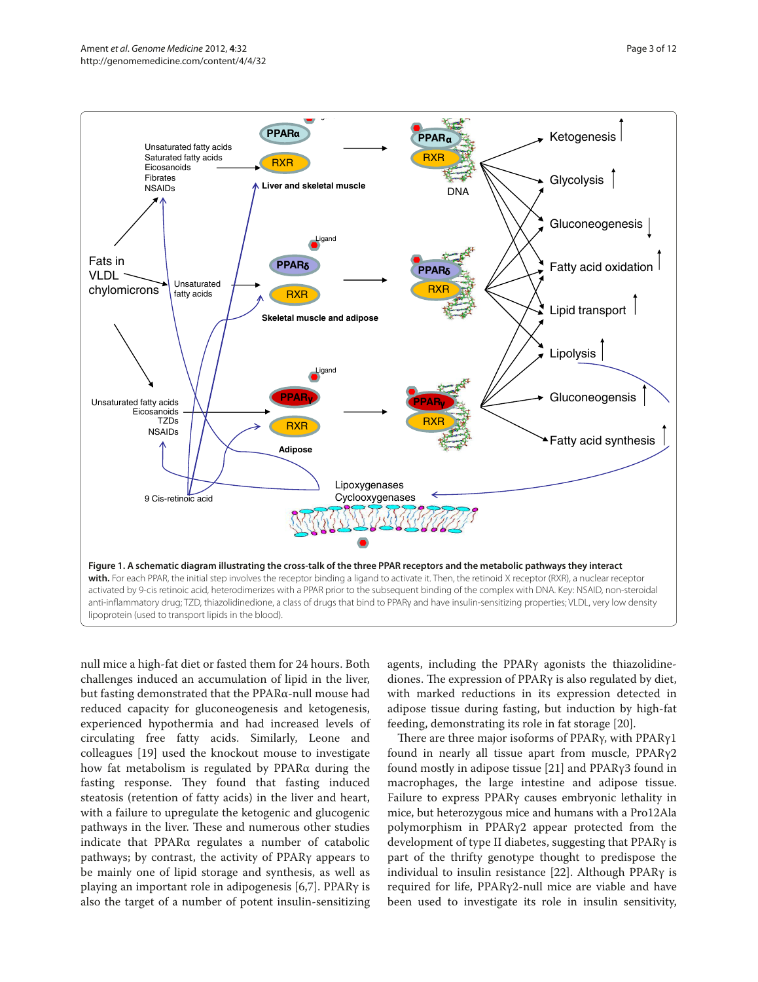

null mice a high-fat diet or fasted them for 24 hours. Both challenges induced an accumulation of lipid in the liver, but fasting demonstrated that the PPARα-null mouse had reduced capacity for gluconeogenesis and ketogenesis, experienced hypothermia and had increased levels of circulating free fatty acids. Similarly, Leone and colleagues [19] used the knockout mouse to investigate how fat metabolism is regulated by PPARα during the fasting response. They found that fasting induced steatosis (retention of fatty acids) in the liver and heart, with a failure to upregulate the ketogenic and glucogenic pathways in the liver. These and numerous other studies indicate that PPARα regulates a number of catabolic pathways; by contrast, the activity of PPARγ appears to be mainly one of lipid storage and synthesis, as well as playing an important role in adipogenesis [6,7]. PPARγ is also the target of a number of potent insulin-sensitizing agents, including the PPARγ agonists the thiazolidinediones. The expression of PPARγ is also regulated by diet, with marked reductions in its expression detected in adipose tissue during fasting, but induction by high-fat feeding, demonstrating its role in fat storage [20].

There are three major isoforms of PPARγ, with PPARγ1 found in nearly all tissue apart from muscle, PPARγ2 found mostly in adipose tissue [21] and PPARγ3 found in macrophages, the large intestine and adipose tissue. Failure to express PPARγ causes embryonic lethality in mice, but heterozygous mice and humans with a Pro12Ala polymorphism in PPARγ2 appear protected from the development of type II diabetes, suggesting that PPARγ is part of the thrifty genotype thought to predispose the individual to insulin resistance [22]. Although PPARγ is required for life, PPARγ2-null mice are viable and have been used to investigate its role in insulin sensitivity,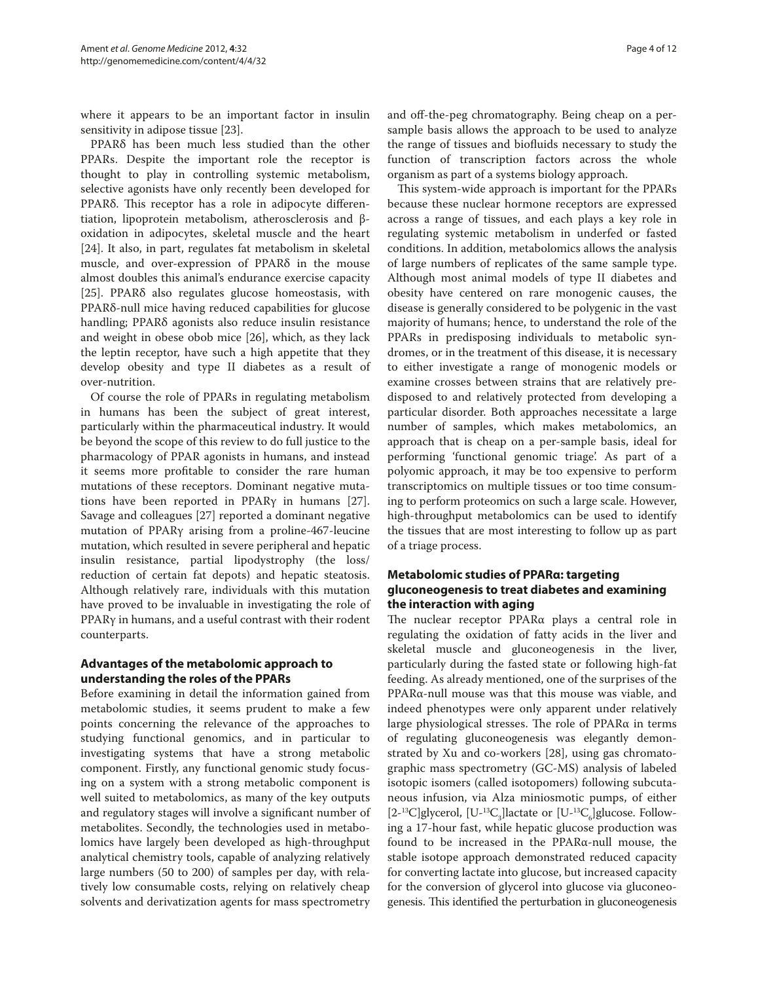where it appears to be an important factor in insulin sensitivity in adipose tissue [23].

PPARδ has been much less studied than the other PPARs. Despite the important role the receptor is thought to play in controlling systemic metabolism, selective agonists have only recently been developed for PPARδ. This receptor has a role in adipocyte differentiation, lipoprotein metabolism, atherosclerosis and βoxidation in adipocytes, skeletal muscle and the heart [24]. It also, in part, regulates fat metabolism in skeletal muscle, and over-expression of PPARδ in the mouse almost doubles this animal's endurance exercise capacity [25]. PPARδ also regulates glucose homeostasis, with PPARδ-null mice having reduced capabilities for glucose handling; PPARδ agonists also reduce insulin resistance and weight in obese obob mice [26], which, as they lack the leptin receptor, have such a high appetite that they develop obesity and type II diabetes as a result of over-nutrition.

Of course the role of PPARs in regulating metabolism in humans has been the subject of great interest, particularly within the pharmaceutical industry. It would be beyond the scope of this review to do full justice to the pharmacology of PPAR agonists in humans, and instead it seems more profitable to consider the rare human mutations of these receptors. Dominant negative mutations have been reported in PPARγ in humans [27]. Savage and colleagues [27] reported a dominant negative mutation of PPARγ arising from a proline-467-leucine mutation, which resulted in severe peripheral and hepatic insulin resistance, partial lipodystrophy (the loss/ reduction of certain fat depots) and hepatic steatosis. Although relatively rare, individuals with this mutation have proved to be invaluable in investigating the role of PPARγ in humans, and a useful contrast with their rodent counterparts.

## **Advantages of the metabolomic approach to understanding the roles of the PPARs**

Before examining in detail the information gained from metabolomic studies, it seems prudent to make a few points concerning the relevance of the approaches to studying functional genomics, and in particular to investigating systems that have a strong metabolic component. Firstly, any functional genomic study focusing on a system with a strong metabolic component is well suited to metabolomics, as many of the key outputs and regulatory stages will involve a significant number of metabolites. Secondly, the technologies used in metabolomics have largely been developed as high-throughput analytical chemistry tools, capable of analyzing relatively large numbers (50 to 200) of samples per day, with relatively low consumable costs, relying on relatively cheap solvents and derivatization agents for mass spectrometry and off-the-peg chromatography. Being cheap on a persample basis allows the approach to be used to analyze the range of tissues and biofluids necessary to study the function of transcription factors across the whole organism as part of a systems biology approach.

This system-wide approach is important for the PPARs because these nuclear hormone receptors are expressed across a range of tissues, and each plays a key role in regulating systemic metabolism in underfed or fasted conditions. In addition, metabolomics allows the analysis of large numbers of replicates of the same sample type. Although most animal models of type II diabetes and obesity have centered on rare monogenic causes, the disease is generally considered to be polygenic in the vast majority of humans; hence, to understand the role of the PPARs in predisposing individuals to metabolic syndromes, or in the treatment of this disease, it is necessary to either investigate a range of monogenic models or examine crosses between strains that are relatively predisposed to and relatively protected from developing a particular disorder. Both approaches necessitate a large number of samples, which makes metabolomics, an approach that is cheap on a per-sample basis, ideal for performing 'functional genomic triage'. As part of a polyomic approach, it may be too expensive to perform transcriptomics on multiple tissues or too time consuming to perform proteomics on such a large scale. However, high-throughput metabolomics can be used to identify the tissues that are most interesting to follow up as part of a triage process.

## **Metabolomic studies of PPARα: targeting gluconeogenesis to treat diabetes and examining the interaction with aging**

The nuclear receptor PPARα plays a central role in regulating the oxidation of fatty acids in the liver and skeletal muscle and gluconeogenesis in the liver, particularly during the fasted state or following high-fat feeding. As already mentioned, one of the surprises of the PPARα-null mouse was that this mouse was viable, and indeed phenotypes were only apparent under relatively large physiological stresses. The role of PPARα in terms of regulating gluconeogenesis was elegantly demonstrated by Xu and co-workers [28], using gas chromatographic mass spectrometry (GC-MS) analysis of labeled isotopic isomers (called isotopomers) following subcutaneous infusion, via Alza miniosmotic pumps, of either [2<sup>-13</sup>C]glycerol, [U<sup>-13</sup>C<sub>3</sub>]lactate or [U<sup>-13</sup>C<sub>6</sub>]glucose. Following a 17-hour fast, while hepatic glucose production was found to be increased in the PPARα-null mouse, the stable isotope approach demonstrated reduced capacity for converting lactate into glucose, but increased capacity for the conversion of glycerol into glucose via gluconeogenesis. This identified the perturbation in gluconeogenesis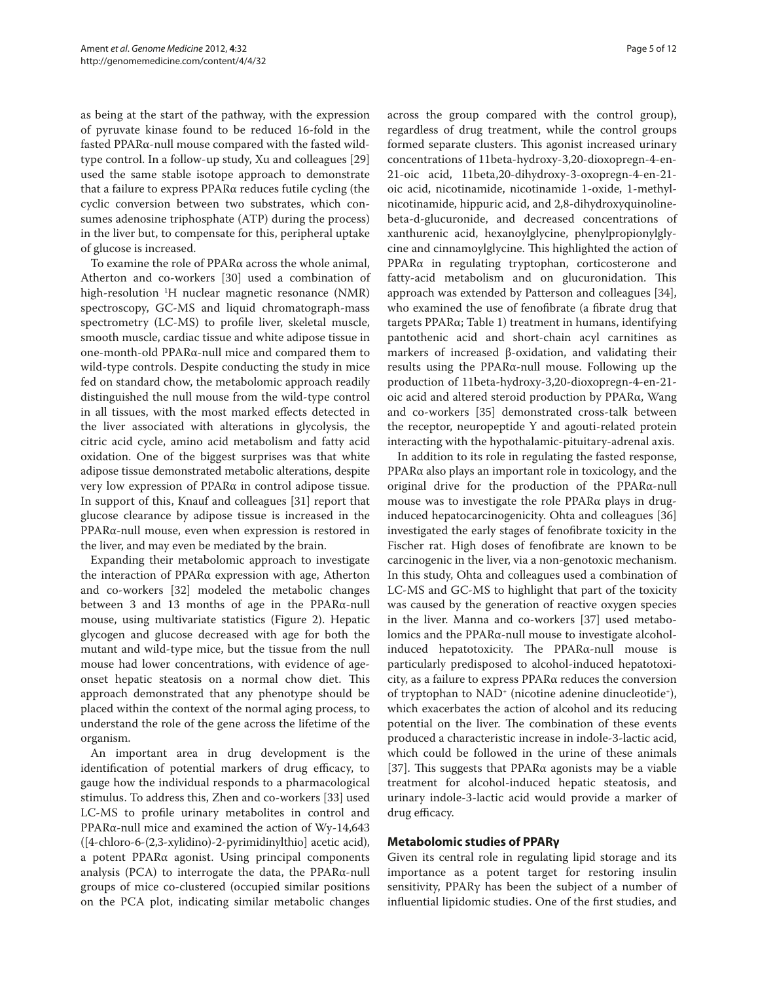as being at the start of the pathway, with the expression of pyruvate kinase found to be reduced 16-fold in the fasted PPARα-null mouse compared with the fasted wildtype control. In a follow-up study, Xu and colleagues [29] used the same stable isotope approach to demonstrate that a failure to express PPARα reduces futile cycling (the cyclic conversion between two substrates, which consumes adenosine triphosphate (ATP) during the process) in the liver but, to compensate for this, peripheral uptake of glucose is increased.

To examine the role of PPARα across the whole animal, Atherton and co-workers [30] used a combination of high-resolution 1 H nuclear magnetic resonance (NMR) spectroscopy, GC-MS and liquid chromatograph-mass spectrometry (LC-MS) to profile liver, skeletal muscle, smooth muscle, cardiac tissue and white adipose tissue in one-month-old PPARα-null mice and compared them to wild-type controls. Despite conducting the study in mice fed on standard chow, the metabolomic approach readily distinguished the null mouse from the wild-type control in all tissues, with the most marked effects detected in the liver associated with alterations in glycolysis, the citric acid cycle, amino acid metabolism and fatty acid oxidation. One of the biggest surprises was that white adipose tissue demonstrated metabolic alterations, despite very low expression of PPARα in control adipose tissue. In support of this, Knauf and colleagues [31] report that glucose clearance by adipose tissue is increased in the PPARα-null mouse, even when expression is restored in the liver, and may even be mediated by the brain.

Expanding their metabolomic approach to investigate the interaction of PPARα expression with age, Atherton and co-workers [32] modeled the metabolic changes between 3 and 13 months of age in the PPARα-null mouse, using multivariate statistics (Figure 2). Hepatic glycogen and glucose decreased with age for both the mutant and wild-type mice, but the tissue from the null mouse had lower concentrations, with evidence of ageonset hepatic steatosis on a normal chow diet. This approach demonstrated that any phenotype should be placed within the context of the normal aging process, to understand the role of the gene across the lifetime of the organism.

An important area in drug development is the identification of potential markers of drug efficacy, to gauge how the individual responds to a pharmacological stimulus. To address this, Zhen and co-workers [33] used LC-MS to profile urinary metabolites in control and PPARα-null mice and examined the action of Wy-14,643 ([4-chloro-6-(2,3-xylidino)-2-pyrimidinylthio] acetic acid), a potent PPARα agonist. Using principal components analysis (PCA) to interrogate the data, the PPARα-null groups of mice co-clustered (occupied similar positions on the PCA plot, indicating similar metabolic changes across the group compared with the control group), regardless of drug treatment, while the control groups formed separate clusters. This agonist increased urinary concentrations of 11beta-hydroxy-3,20-dioxopregn-4-en-21-oic acid, 11beta,20-dihydroxy-3-oxopregn-4-en-21 oic acid, nicotinamide, nicotinamide 1-oxide, 1-methylnicotinamide, hippuric acid, and 2,8-dihydroxyquinolinebeta-d-glucuronide, and decreased concentrations of xanthurenic acid, hexanoylglycine, phenylpropionylglycine and cinnamoylglycine. This highlighted the action of PPARα in regulating tryptophan, corticosterone and fatty-acid metabolism and on glucuronidation. This approach was extended by Patterson and colleagues [34], who examined the use of fenofibrate (a fibrate drug that targets PPARα; Table 1) treatment in humans, identifying pantothenic acid and short-chain acyl carnitines as markers of increased β-oxidation, and validating their results using the PPARα-null mouse. Following up the production of 11beta-hydroxy-3,20-dioxopregn-4-en-21 oic acid and altered steroid production by PPARα, Wang and co-workers [35] demonstrated cross-talk between the receptor, neuropeptide Y and agouti-related protein interacting with the hypothalamic-pituitary-adrenal axis.

In addition to its role in regulating the fasted response, PPARα also plays an important role in toxicology, and the original drive for the production of the PPARα-null mouse was to investigate the role PPARα plays in druginduced hepatocarcinogenicity. Ohta and colleagues [36] investigated the early stages of fenofibrate toxicity in the Fischer rat. High doses of fenofibrate are known to be carcinogenic in the liver, via a non-genotoxic mechanism. In this study, Ohta and colleagues used a combination of LC-MS and GC-MS to highlight that part of the toxicity was caused by the generation of reactive oxygen species in the liver. Manna and co-workers [37] used metabolomics and the PPARα-null mouse to investigate alcoholinduced hepatotoxicity. The PPARα-null mouse is particularly predisposed to alcohol-induced hepatotoxicity, as a failure to express PPARα reduces the conversion of tryptophan to NAD<sup>+</sup> (nicotine adenine dinucleotide<sup>+</sup>), which exacerbates the action of alcohol and its reducing potential on the liver. The combination of these events produced a characteristic increase in indole-3-lactic acid, which could be followed in the urine of these animals [37]. This suggests that  $PPAR\alpha$  agonists may be a viable treatment for alcohol-induced hepatic steatosis, and urinary indole-3-lactic acid would provide a marker of drug efficacy.

#### **Metabolomic studies of PPARγ**

Given its central role in regulating lipid storage and its importance as a potent target for restoring insulin sensitivity, PPARγ has been the subject of a number of influential lipidomic studies. One of the first studies, and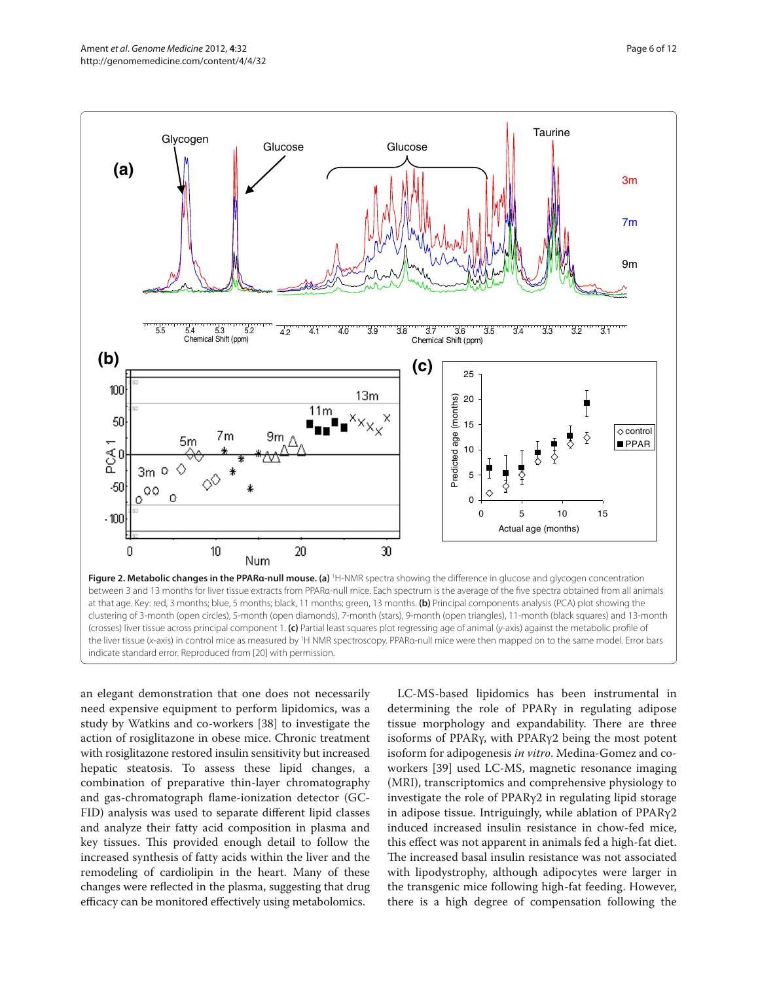

an elegant demonstration that one does not necessarily need expensive equipment to perform lipidomics, was a study by Watkins and co-workers [38] to investigate the action of rosiglitazone in obese mice. Chronic treatment with rosiglitazone restored insulin sensitivity but increased hepatic steatosis. To assess these lipid changes, a combination of preparative thin-layer chromatography and gas-chromatograph flame-ionization detector (GC-FID) analysis was used to separate different lipid classes and analyze their fatty acid composition in plasma and key tissues. This provided enough detail to follow the increased synthesis of fatty acids within the liver and the remodeling of cardiolipin in the heart. Many of these changes were reflected in the plasma, suggesting that drug efficacy can be monitored effectively using metabolomics.

LC-MS-based lipidomics has been instrumental in determining the role of PPARγ in regulating adipose tissue morphology and expandability. There are three isoforms of PPARγ, with PPARγ2 being the most potent isoform for adipogenesis *in vitro*. Medina-Gomez and coworkers [39] used LC-MS, magnetic resonance imaging (MRI), transcriptomics and comprehensive physiology to investigate the role of PPARγ2 in regulating lipid storage in adipose tissue. Intriguingly, while ablation of PPARγ2 induced increased insulin resistance in chow-fed mice, this effect was not apparent in animals fed a high-fat diet. The increased basal insulin resistance was not associated with lipodystrophy, although adipocytes were larger in the transgenic mice following high-fat feeding. However, there is a high degree of compensation following the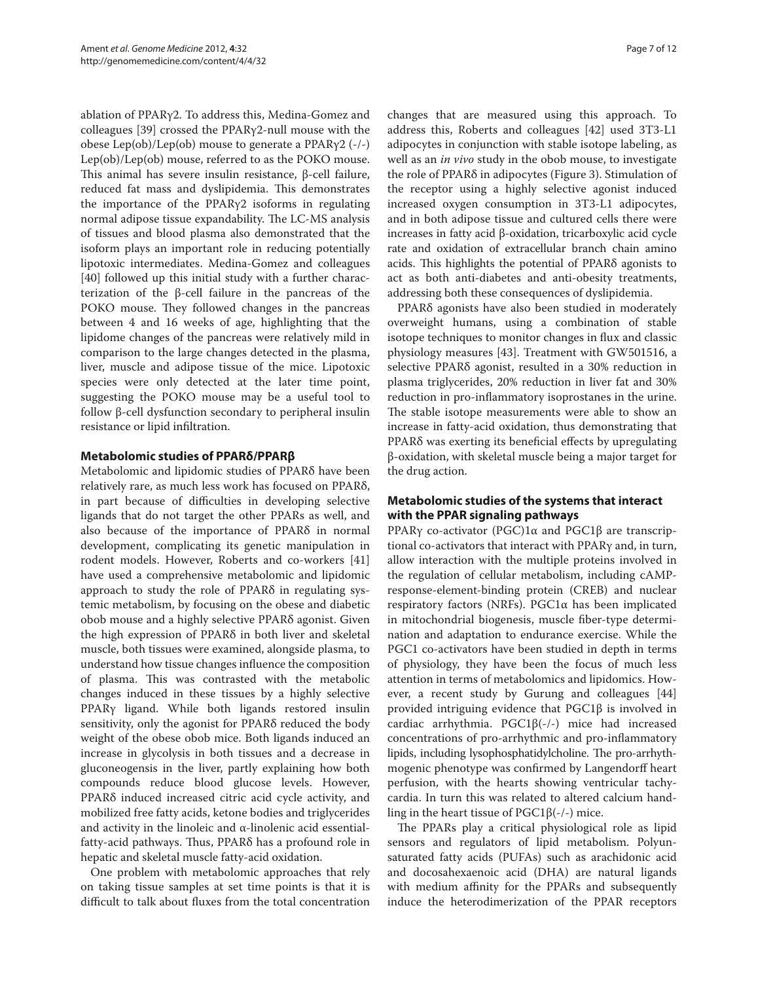ablation of PPARγ2. To address this, Medina-Gomez and colleagues [39] crossed the PPARγ2-null mouse with the obese Lep(ob)/Lep(ob) mouse to generate a PPARγ2 (-/-) Lep(ob)/Lep(ob) mouse, referred to as the POKO mouse. This animal has severe insulin resistance, β-cell failure, reduced fat mass and dyslipidemia. This demonstrates the importance of the PPARγ2 isoforms in regulating normal adipose tissue expandability. The LC-MS analysis of tissues and blood plasma also demonstrated that the isoform plays an important role in reducing potentially lipotoxic intermediates. Medina-Gomez and colleagues [40] followed up this initial study with a further characterization of the β-cell failure in the pancreas of the POKO mouse. They followed changes in the pancreas between 4 and 16 weeks of age, highlighting that the lipidome changes of the pancreas were relatively mild in comparison to the large changes detected in the plasma, liver, muscle and adipose tissue of the mice. Lipotoxic species were only detected at the later time point, suggesting the POKO mouse may be a useful tool to follow β-cell dysfunction secondary to peripheral insulin resistance or lipid infiltration.

## **Metabolomic studies of PPARδ/PPARβ**

Metabolomic and lipidomic studies of PPARδ have been relatively rare, as much less work has focused on PPARδ, in part because of difficulties in developing selective ligands that do not target the other PPARs as well, and also because of the importance of PPARδ in normal development, complicating its genetic manipulation in rodent models. However, Roberts and co-workers [41] have used a comprehensive metabolomic and lipidomic approach to study the role of PPARδ in regulating systemic metabolism, by focusing on the obese and diabetic obob mouse and a highly selective PPARδ agonist. Given the high expression of PPARδ in both liver and skeletal muscle, both tissues were examined, alongside plasma, to understand how tissue changes influence the composition of plasma. This was contrasted with the metabolic changes induced in these tissues by a highly selective PPARγ ligand. While both ligands restored insulin sensitivity, only the agonist for PPARδ reduced the body weight of the obese obob mice. Both ligands induced an increase in glycolysis in both tissues and a decrease in gluconeogensis in the liver, partly explaining how both compounds reduce blood glucose levels. However, PPARδ induced increased citric acid cycle activity, and mobilized free fatty acids, ketone bodies and triglycerides and activity in the linoleic and  $\alpha$ -linolenic acid essentialfatty-acid pathways. Thus, PPARδ has a profound role in hepatic and skeletal muscle fatty-acid oxidation.

One problem with metabolomic approaches that rely on taking tissue samples at set time points is that it is difficult to talk about fluxes from the total concentration changes that are measured using this approach. To address this, Roberts and colleagues [42] used 3T3-L1 adipocytes in conjunction with stable isotope labeling, as well as an *in vivo* study in the obob mouse, to investigate the role of PPARδ in adipocytes (Figure 3). Stimulation of the receptor using a highly selective agonist induced increased oxygen consumption in 3T3-L1 adipocytes, and in both adipose tissue and cultured cells there were increases in fatty acid β-oxidation, tricarboxylic acid cycle rate and oxidation of extracellular branch chain amino acids. This highlights the potential of PPARδ agonists to act as both anti-diabetes and anti-obesity treatments, addressing both these consequences of dyslipidemia.

PPARδ agonists have also been studied in moderately overweight humans, using a combination of stable isotope techniques to monitor changes in flux and classic physiology measures [43]. Treatment with GW501516, a selective PPARδ agonist, resulted in a 30% reduction in plasma triglycerides, 20% reduction in liver fat and 30% reduction in pro-inflammatory isoprostanes in the urine. The stable isotope measurements were able to show an increase in fatty-acid oxidation, thus demonstrating that PPARδ was exerting its beneficial effects by upregulating β-oxidation, with skeletal muscle being a major target for the drug action.

## **Metabolomic studies of the systems that interact with the PPAR signaling pathways**

PPARγ co-activator (PGC)1α and PGC1β are transcriptional co-activators that interact with PPARγ and, in turn, allow interaction with the multiple proteins involved in the regulation of cellular metabolism, including cAMPresponse-element-binding protein (CREB) and nuclear respiratory factors (NRFs). PGC1α has been implicated in mitochondrial biogenesis, muscle fiber-type determination and adaptation to endurance exercise. While the PGC1 co-activators have been studied in depth in terms of physiology, they have been the focus of much less attention in terms of metabolomics and lipidomics. However, a recent study by Gurung and colleagues [44] provided intriguing evidence that PGC1β is involved in cardiac arrhythmia. PGC1β(-/-) mice had increased concentrations of pro-arrhythmic and pro-inflammatory lipids, including lysophosphatidylcholine. The pro-arrhythmogenic phenotype was confirmed by Langendorff heart perfusion, with the hearts showing ventricular tachycardia. In turn this was related to altered calcium handling in the heart tissue of  $PGC1β$ (-/-) mice.

The PPARs play a critical physiological role as lipid sensors and regulators of lipid metabolism. Polyunsaturated fatty acids (PUFAs) such as arachidonic acid and docosahexaenoic acid (DHA) are natural ligands with medium affinity for the PPARs and subsequently induce the heterodimerization of the PPAR receptors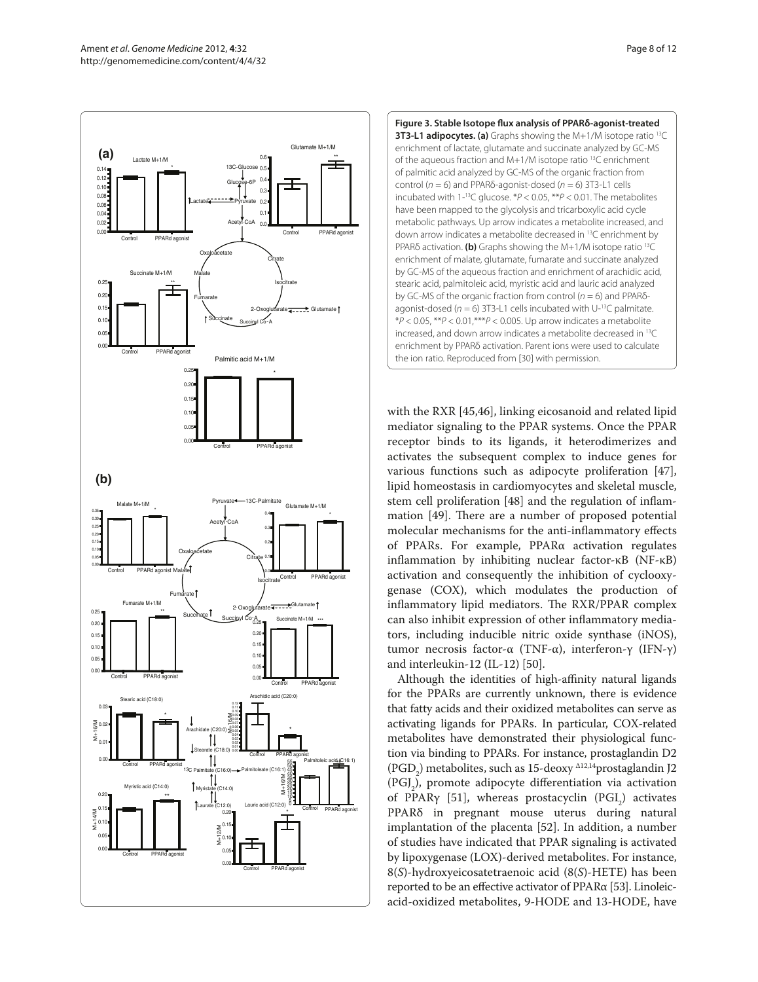

**Figure 3. Stable Isotope flux analysis of PPARδ-agonist-treated 3T3-L1 adipocytes. (a)** Graphs showing the M+1/M isotope ratio <sup>13</sup>C enrichment of lactate, glutamate and succinate analyzed by GC-MS of the aqueous fraction and M+1/M isotope ratio 13C enrichment of palmitic acid analyzed by GC-MS of the organic fraction from control (*n* = 6) and PPARδ-agonist-dosed (*n* = 6) 3T3-L1 cells incubated with 1-13C glucose. \**P* < 0.05, \*\**P* < 0.01. The metabolites have been mapped to the glycolysis and tricarboxylic acid cycle metabolic pathways. Up arrow indicates a metabolite increased, and down arrow indicates a metabolite decreased in 13C enrichment by PPARδ activation. **(b)** Graphs showing the M+1/M isotope ratio 13C enrichment of malate, glutamate, fumarate and succinate analyzed by GC-MS of the aqueous fraction and enrichment of arachidic acid, stearic acid, palmitoleic acid, myristic acid and lauric acid analyzed by GC-MS of the organic fraction from control (*n* = 6) and PPARδagonist-dosed (*n* = 6) 3T3-L1 cells incubated with U-13C palmitate. \**P* < 0.05, \*\**P* < 0.01,\*\*\**P* < 0.005. Up arrow indicates a metabolite increased, and down arrow indicates a metabolite decreased in 13C enrichment by PPARδ activation. Parent ions were used to calculate the ion ratio. Reproduced from [30] with permission.

with the RXR [45,46], linking eicosanoid and related lipid mediator signaling to the PPAR systems. Once the PPAR receptor binds to its ligands, it heterodimerizes and activates the subsequent complex to induce genes for various functions such as adipocyte proliferation [47], lipid homeostasis in cardiomyocytes and skeletal muscle, stem cell proliferation [48] and the regulation of inflammation [49]. There are a number of proposed potential molecular mechanisms for the anti-inflammatory effects of PPARs. For example, PPARα activation regulates inflammation by inhibiting nuclear factor-κB (NF-κB) activation and consequently the inhibition of cyclooxygenase (COX), which modulates the production of inflammatory lipid mediators. The RXR/PPAR complex can also inhibit expression of other inflammatory mediators, including inducible nitric oxide synthase (iNOS), tumor necrosis factor-α (TNF-α), interferon-γ (IFN-γ) and interleukin-12 (IL-12) [50].

Although the identities of high-affinity natural ligands for the PPARs are currently unknown, there is evidence that fatty acids and their oxidized metabolites can serve as activating ligands for PPARs. In particular, COX-related metabolites have demonstrated their physiological function via binding to PPARs. For instance, prostaglandin D2  $(PGD<sub>2</sub>)$  metabolites, such as 15-deoxy  $\frac{\text{A12,14}}{P}$ prostaglandin J2  $(PGI<sub>2</sub>)$ , promote adipocyte differentiation via activation of PPAR $\gamma$  [51], whereas prostacyclin (PGI<sub>2</sub>) activates PPARδ in pregnant mouse uterus during natural implantation of the placenta [52]. In addition, a number of studies have indicated that PPAR signaling is activated by lipoxygenase (LOX)-derived metabolites. For instance, 8(*S*)-hydroxyeicosatetraenoic acid (8(*S*)-HETE) has been reported to be an effective activator of  $PPAR\alpha$  [53]. Linoleicacid-oxidized metabolites, 9-HODE and 13-HODE, have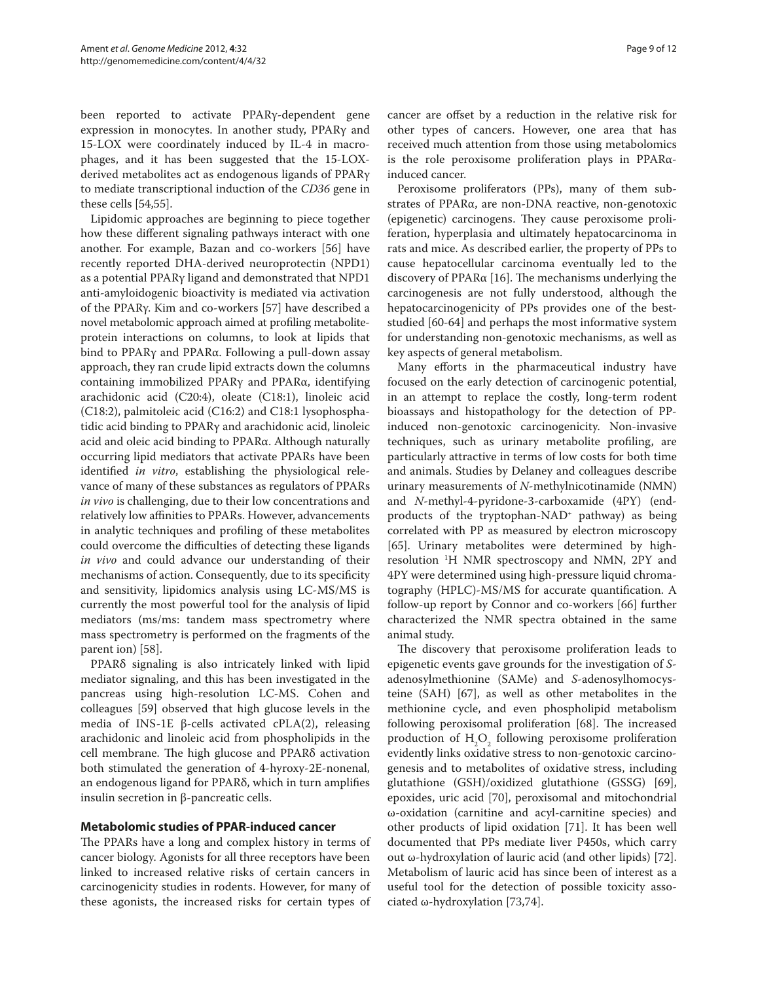been reported to activate PPARγ-dependent gene expression in monocytes. In another study, PPARγ and 15-LOX were coordinately induced by IL-4 in macrophages, and it has been suggested that the 15-LOXderived metabolites act as endogenous ligands of PPARγ to mediate transcriptional induction of the *CD36* gene in these cells [54,55].

Lipidomic approaches are beginning to piece together how these different signaling pathways interact with one another. For example, Bazan and co-workers [56] have recently reported DHA-derived neuroprotectin (NPD1) as a potential PPARγ ligand and demonstrated that NPD1 anti-amyloidogenic bioactivity is mediated via activation of the PPARγ. Kim and co-workers [57] have described a novel metabolomic approach aimed at profiling metaboliteprotein interactions on columns, to look at lipids that bind to PPARγ and PPARα. Following a pull-down assay approach, they ran crude lipid extracts down the columns containing immobilized PPARγ and PPARα, identifying arachidonic acid (C20:4), oleate (C18:1), linoleic acid (C18:2), palmitoleic acid (C16:2) and C18:1 lysophosphatidic acid binding to PPARγ and arachidonic acid, linoleic acid and oleic acid binding to PPARα. Although naturally occurring lipid mediators that activate PPARs have been identified *in vitro*, establishing the physiological relevance of many of these substances as regulators of PPARs *in vivo* is challenging, due to their low concentrations and relatively low affinities to PPARs. However, advancements in analytic techniques and profiling of these metabolites could overcome the difficulties of detecting these ligands *in vivo* and could advance our understanding of their mechanisms of action. Consequently, due to its specificity and sensitivity, lipidomics analysis using LC-MS/MS is currently the most powerful tool for the analysis of lipid mediators (ms/ms: tandem mass spectrometry where mass spectrometry is performed on the fragments of the parent ion) [58].

PPARδ signaling is also intricately linked with lipid mediator signaling, and this has been investigated in the pancreas using high-resolution LC-MS. Cohen and colleagues [59] observed that high glucose levels in the media of INS-1E β-cells activated cPLA(2), releasing arachidonic and linoleic acid from phospholipids in the cell membrane. The high glucose and PPARδ activation both stimulated the generation of 4-hyroxy-2E-nonenal, an endogenous ligand for PPARδ, which in turn amplifies insulin secretion in β-pancreatic cells.

## **Metabolomic studies of PPAR-induced cancer**

The PPARs have a long and complex history in terms of cancer biology. Agonists for all three receptors have been linked to increased relative risks of certain cancers in carcinogenicity studies in rodents. However, for many of these agonists, the increased risks for certain types of cancer are offset by a reduction in the relative risk for other types of cancers. However, one area that has received much attention from those using metabolomics is the role peroxisome proliferation plays in PPARαinduced cancer.

Peroxisome proliferators (PPs), many of them substrates of PPARα, are non-DNA reactive, non-genotoxic (epigenetic) carcinogens. They cause peroxisome proliferation, hyperplasia and ultimately hepatocarcinoma in rats and mice. As described earlier, the property of PPs to cause hepatocellular carcinoma eventually led to the discovery of PPARα [16]. The mechanisms underlying the carcinogenesis are not fully understood, although the hepatocarcinogenicity of PPs provides one of the beststudied [60-64] and perhaps the most informative system for understanding non-genotoxic mechanisms, as well as key aspects of general metabolism.

Many efforts in the pharmaceutical industry have focused on the early detection of carcinogenic potential, in an attempt to replace the costly, long-term rodent bioassays and histopathology for the detection of PPinduced non-genotoxic carcinogenicity. Non-invasive techniques, such as urinary metabolite profiling, are particularly attractive in terms of low costs for both time and animals. Studies by Delaney and colleagues describe urinary measurements of *N*-methylnicotinamide (NMN) and *N*-methyl-4-pyridone-3-carboxamide (4PY) (endproducts of the tryptophan-NAD<sup>+</sup> pathway) as being correlated with PP as measured by electron microscopy [65]. Urinary metabolites were determined by highresolution 1 H NMR spectroscopy and NMN, 2PY and 4PY were determined using high-pressure liquid chromatography (HPLC)-MS/MS for accurate quantification. A follow-up report by Connor and co-workers [66] further characterized the NMR spectra obtained in the same animal study.

The discovery that peroxisome proliferation leads to epigenetic events gave grounds for the investigation of *S*adenosylmethionine (SAMe) and *S*-adenosylhomocysteine (SAH) [67], as well as other metabolites in the methionine cycle, and even phospholipid metabolism following peroxisomal proliferation [68]. The increased production of  $H_2O_2$  following peroxisome proliferation evidently links oxidative stress to non-genotoxic carcinogenesis and to metabolites of oxidative stress, including glutathione (GSH)/oxidized glutathione (GSSG) [69], epoxides, uric acid [70], peroxisomal and mitochondrial ω-oxidation (carnitine and acyl-carnitine species) and other products of lipid oxidation [71]. It has been well documented that PPs mediate liver P450s, which carry out ω-hydroxylation of lauric acid (and other lipids) [72]. Metabolism of lauric acid has since been of interest as a useful tool for the detection of possible toxicity associated  $\omega$ -hydroxylation [73,74].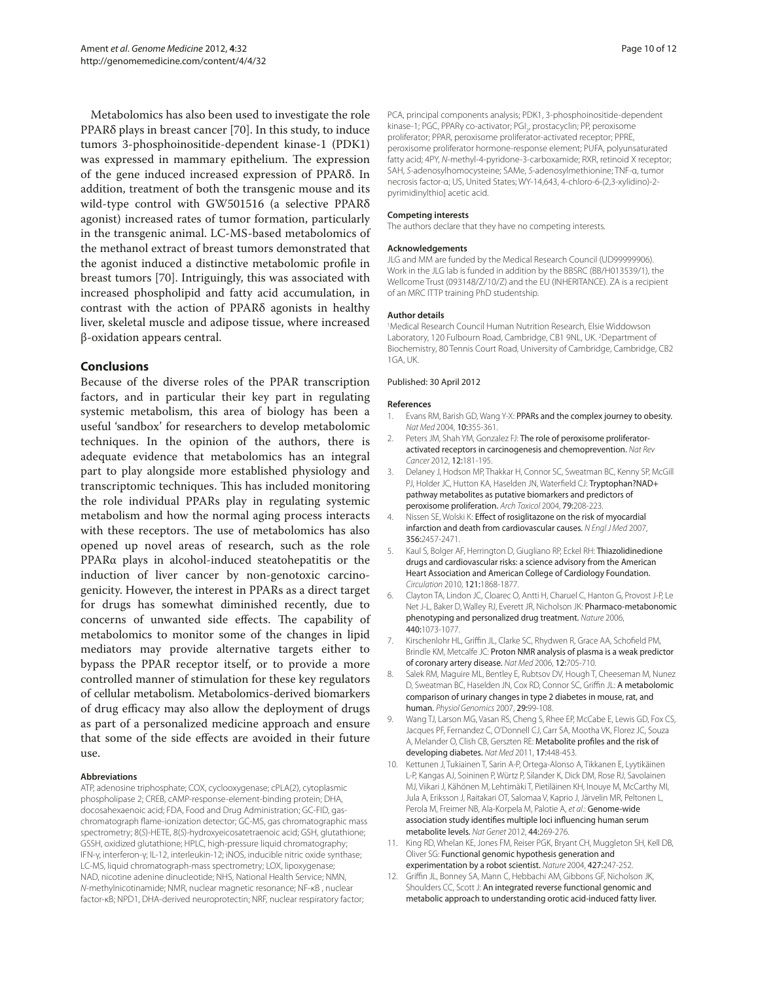Metabolomics has also been used to investigate the role PPARδ plays in breast cancer [70]. In this study, to induce tumors 3-phosphoinositide-dependent kinase-1 (PDK1) was expressed in mammary epithelium. The expression of the gene induced increased expression of PPARδ. In addition, treatment of both the transgenic mouse and its wild-type control with GW501516 (a selective PPARδ agonist) increased rates of tumor formation, particularly in the transgenic animal. LC-MS-based metabolomics of the methanol extract of breast tumors demonstrated that the agonist induced a distinctive metabolomic profile in breast tumors [70]. Intriguingly, this was associated with increased phospholipid and fatty acid accumulation, in contrast with the action of PPARδ agonists in healthy liver, skeletal muscle and adipose tissue, where increased β-oxidation appears central.

## **Conclusions**

Because of the diverse roles of the PPAR transcription factors, and in particular their key part in regulating systemic metabolism, this area of biology has been a useful 'sandbox' for researchers to develop metabolomic techniques. In the opinion of the authors, there is adequate evidence that metabolomics has an integral part to play alongside more established physiology and transcriptomic techniques. This has included monitoring the role individual PPARs play in regulating systemic metabolism and how the normal aging process interacts with these receptors. The use of metabolomics has also opened up novel areas of research, such as the role PPARα plays in alcohol-induced steatohepatitis or the induction of liver cancer by non-genotoxic carcinogenicity. However, the interest in PPARs as a direct target for drugs has somewhat diminished recently, due to concerns of unwanted side effects. The capability of metabolomics to monitor some of the changes in lipid mediators may provide alternative targets either to bypass the PPAR receptor itself, or to provide a more controlled manner of stimulation for these key regulators of cellular metabolism. Metabolomics-derived biomarkers of drug efficacy may also allow the deployment of drugs as part of a personalized medicine approach and ensure that some of the side effects are avoided in their future use.

#### **Abbreviations**

ATP, adenosine triphosphate; COX, cyclooxygenase; cPLA(2), cytoplasmic phospholipase 2; CREB, cAMP-response-element-binding protein; DHA, docosahexaenoic acid; FDA, Food and Drug Administration; GC-FID, gaschromatograph flame-ionization detector; GC-MS, gas chromatographic mass spectrometry; 8(*S*)-HETE, 8(*S*)-hydroxyeicosatetraenoic acid; GSH, glutathione; GSSH, oxidized glutathione; HPLC, high-pressure liquid chromatography; IFN-γ, interferon-γ; IL-12, interleukin-12; iNOS, inducible nitric oxide synthase; LC-MS, liquid chromatograph-mass spectrometry; LOX, lipoxygenase; NAD, nicotine adenine dinucleotide; NHS, National Health Service; NMN, *N*-methylnicotinamide; NMR, nuclear magnetic resonance; NF-κB , nuclear factor-κB; NPD1, DHA-derived neuroprotectin; NRF, nuclear respiratory factor;

PCA, principal components analysis; PDK1, 3-phosphoinositide-dependent kinase-1; PGC, PPARγ co-activator; PGI<sub>2</sub>, prostacyclin; PP, peroxisome proliferator; PPAR, peroxisome proliferator-activated receptor; PPRE, peroxisome proliferator hormone-response element; PUFA, polyunsaturated fatty acid; 4PY, *N*-methyl-4-pyridone-3-carboxamide; RXR, retinoid X receptor; SAH, *S*-adenosylhomocysteine; SAMe, *S*-adenosylmethionine; TNF-α, tumor necrosis factor-α; US, United States; WY-14,643, 4-chloro-6-(2,3-xylidino)-2 pyrimidinylthio] acetic acid.

#### **Competing interests**

The authors declare that they have no competing interests.

#### **Acknowledgements**

JLG and MM are funded by the Medical Research Council (UD99999906). Work in the JLG lab is funded in addition by the BBSRC (BB/H013539/1), the Wellcome Trust (093148/Z/10/Z) and the EU (INHERITANCE). ZA is a recipient of an MRC ITTP training PhD studentship.

#### **Author details**

1 Medical Research Council Human Nutrition Research, Elsie Widdowson Laboratory, 120 Fulbourn Road, Cambridge, CB1 9NL, UK. <sup>2</sup>Department of Biochemistry, 80 Tennis Court Road, University of Cambridge, Cambridge, CB2 1GA, UK.

#### Published: 30 April 2012

#### **References**

- 1. Evans RM, Barish GD, Wang Y-X: PPARs and the complex journey to obesity. *Nat Med* 2004, 10:355-361.
- 2. Peters JM, Shah YM, Gonzalez FJ: The role of peroxisome proliferatoractivated receptors in carcinogenesis and chemoprevention. *Nat Rev Cancer* 2012, 12:181-195.
- 3. Delaney J, Hodson MP, Thakkar H, Connor SC, Sweatman BC, Kenny SP, McGill PJ, Holder JC, Hutton KA, Haselden JN, Waterfield CJ: Tryptophan?NAD+ pathway metabolites as putative biomarkers and predictors of peroxisome proliferation. *Arch Toxicol* 2004, 79:208-223.
- 4. Nissen SE, Wolski K: Effect of rosiglitazone on the risk of myocardial infarction and death from cardiovascular causes. *N Engl J Med* 2007, 356:2457-2471.
- 5. Kaul S, Bolger AF, Herrington D, Giugliano RP, Eckel RH: Thiazolidinedione drugs and cardiovascular risks: a science advisory from the American Heart Association and American College of Cardiology Foundation. *Circulation* 2010, 121:1868-1877.
- Clayton TA, Lindon JC, Cloarec O, Antti H, Charuel C, Hanton G, Provost J-P, Le Net J-L, Baker D, Walley RJ, Everett JR, Nicholson JK: Pharmaco-metabonomic phenotyping and personalized drug treatment. *Nature* 2006, 440:1073-1077.
- 7. Kirschenlohr HL, Griffin JL, Clarke SC, Rhydwen R, Grace AA, Schofield PM, Brindle KM, Metcalfe JC: Proton NMR analysis of plasma is a weak predictor of coronary artery disease. *Nat Med* 2006, 12:705-710.
- Salek RM, Maguire ML, Bentley E, Rubtsov DV, Hough T, Cheeseman M, Nunez D, Sweatman BC, Haselden JN, Cox RD, Connor SC, Griffin JL: A metabolomic comparison of urinary changes in type 2 diabetes in mouse, rat, and human. *Physiol Genomics* 2007, 29:99-108.
- Wang TJ, Larson MG, Vasan RS, Cheng S, Rhee EP, McCabe E, Lewis GD, Fox CS, Jacques PF, Fernandez C, O'Donnell CJ, Carr SA, Mootha VK, Florez JC, Souza A, Melander O, Clish CB, Gerszten RE: Metabolite profiles and the risk of developing diabetes. *Nat Med* 2011, 17:448-453.
- 10. Kettunen J, Tukiainen T, Sarin A-P, Ortega-Alonso A, Tikkanen E, Lyytikäinen L-P, Kangas AJ, Soininen P, Würtz P, Silander K, Dick DM, Rose RJ, Savolainen MJ, Viikari J, Kähönen M, Lehtimäki T, Pietiläinen KH, Inouye M, McCarthy MI, Jula A, Eriksson J, Raitakari OT, Salomaa V, Kaprio J, Järvelin MR, Peltonen L, Perola M, Freimer NB, Ala-Korpela M, Palotie A, *et al*.: Genome-wide association study identifies multiple loci influencing human serum metabolite levels. *Nat Genet* 2012, 44:269-276.
- 11. King RD, Whelan KE, Jones FM, Reiser PGK, Bryant CH, Muggleton SH, Kell DB, Oliver SG: Functional genomic hypothesis generation and experimentation by a robot scientist. *Nature* 2004, 427:247-252.
- 12. Griffin JL, Bonney SA, Mann C, Hebbachi AM, Gibbons GF, Nicholson JK, Shoulders CC, Scott J: An integrated reverse functional genomic and metabolic approach to understanding orotic acid-induced fatty liver.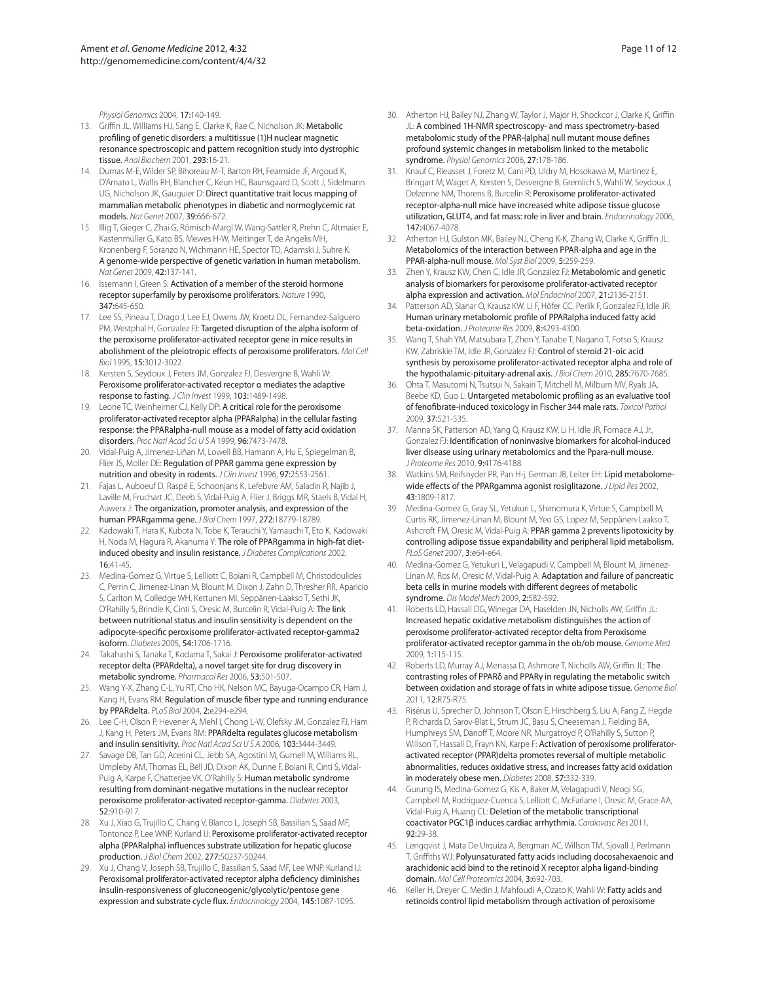*Physiol Genomics* 2004, 17:140-149.

- 13. Griffin JL, Williams HJ, Sang E, Clarke K, Rae C, Nicholson JK: Metabolic profiling of genetic disorders: a multitissue (1)H nuclear magnetic resonance spectroscopic and pattern recognition study into dystrophic tissue. *Anal Biochem* 2001, 293:16-21.
- 14. Dumas M-E, Wilder SP, Bihoreau M-T, Barton RH, Fearnside JF, Argoud K, D'Amato L, Wallis RH, Blancher C, Keun HC, Baunsgaard D, Scott J, Sidelmann UG, Nicholson JK, Gauguier D: Direct quantitative trait locus mapping of mammalian metabolic phenotypes in diabetic and normoglycemic rat models. *Nat Genet* 2007, 39:666-672.
- 15. Illig T, Gieger C, Zhai G, Römisch-Margl W, Wang-Sattler R, Prehn C, Altmaier E, Kastenmüller G, Kato BS, Mewes H-W, Meitinger T, de Angelis MH, Kronenberg F, Soranzo N, Wichmann HE, Spector TD, Adamski J, Suhre K: A genome-wide perspective of genetic variation in human metabolism. *Nat Genet* 2009, 42:137-141.
- 16. Issemann I, Green S: Activation of a member of the steroid hormone receptor superfamily by peroxisome proliferators. *Nature* 1990, 347:645-650.
- 17. Lee SS, Pineau T, Drago J, Lee EJ, Owens JW, Kroetz DL, Fernandez-Salguero PM, Westphal H, Gonzalez FJ: Targeted disruption of the alpha isoform of the peroxisome proliferator-activated receptor gene in mice results in abolishment of the pleiotropic effects of peroxisome proliferators. *Mol Cell Biol* 1995, 15:3012-3022.
- 18. Kersten S, Seydoux J, Peters JM, Gonzalez FJ, Desvergne B, Wahli W: Peroxisome proliferator-activated receptor α mediates the adaptive response to fasting. *J Clin Invest* 1999, 103:1489-1498.
- 19. Leone TC, Weinheimer CJ, Kelly DP: A critical role for the peroxisome proliferator-activated receptor alpha (PPARalpha) in the cellular fasting response: the PPARalpha-null mouse as a model of fatty acid oxidation disorders. *Proc Natl Acad Sci U S A* 1999, 96:7473-7478.
- 20. Vidal-Puig A, Jimenez-Liñan M, Lowell BB, Hamann A, Hu E, Spiegelman B, Flier JS, Moller DE: Regulation of PPAR gamma gene expression by nutrition and obesity in rodents. *J Clin Invest* 1996, 97:2553-2561.
- 21. Fajas L, Auboeuf D, Raspé E, Schoonjans K, Lefebvre AM, Saladin R, Najib J, Laville M, Fruchart JC, Deeb S, Vidal-Puig A, Flier J, Briggs MR, Staels B, Vidal H, Auwerx J: The organization, promoter analysis, and expression of the human PPARgamma gene. *J Biol Chem* 1997, 272:18779-18789.
- 22. Kadowaki T, Hara K, Kubota N, Tobe K, Terauchi Y, Yamauchi T, Eto K, Kadowaki H, Noda M, Hagura R, Akanuma Y: The role of PPARgamma in high-fat dietinduced obesity and insulin resistance. *J Diabetes Complications* 2002, 16:41-45.
- 23. Medina-Gomez G, Virtue S, Lelliott C, Boiani R, Campbell M, Christodoulides C, Perrin C, Jimenez-Linan M, Blount M, Dixon J, Zahn D, Thresher RR, Aparicio S, Carlton M, Colledge WH, Kettunen MI, Seppänen-Laakso T, Sethi JK, O'Rahilly S, Brindle K, Cinti S, Oresic M, Burcelin R, Vidal-Puig A: The link between nutritional status and insulin sensitivity is dependent on the adipocyte-specific peroxisome proliferator-activated receptor-gamma2 isoform. *Diabetes* 2005, 54:1706-1716.
- 24. Takahashi S, Tanaka T, Kodama T, Sakai J: Peroxisome proliferator-activated receptor delta (PPARdelta), a novel target site for drug discovery in metabolic syndrome. *Pharmacol Res* 2006, 53:501-507.
- 25. Wang Y-X, Zhang C-L, Yu RT, Cho HK, Nelson MC, Bayuga-Ocampo CR, Ham J, Kang H, Evans RM: Regulation of muscle fiber type and running endurance by PPARdelta. *PLoS Biol* 2004, 2:e294-e294.
- 26. Lee C-H, Olson P, Hevener A, Mehl I, Chong L-W, Olefsky JM, Gonzalez FJ, Ham J, Kang H, Peters JM, Evans RM: PPARdelta regulates glucose metabolism and insulin sensitivity. *Proc Natl Acad Sci U S A* 2006, 103:3444-3449.
- 27. Savage DB, Tan GD, Acerini CL, Jebb SA, Agostini M, Gurnell M, Williams RL, Umpleby AM, Thomas EL, Bell JD, Dixon AK, Dunne F, Boiani R, Cinti S, Vidal-Puig A, Karpe F, Chatterjee VK, O'Rahilly S: Human metabolic syndrome resulting from dominant-negative mutations in the nuclear receptor peroxisome proliferator-activated receptor-gamma. *Diabetes* 2003, 52:910-917.
- 28. Xu J, Xiao G, Trujillo C, Chang V, Blanco L, Joseph SB, Bassilian S, Saad MF, Tontonoz P, Lee WNP, Kurland IJ: Peroxisome proliferator-activated receptor alpha (PPARalpha) influences substrate utilization for hepatic glucose production. *J Biol Chem* 2002, 277:50237-50244.
- 29. Xu J, Chang V, Joseph SB, Trujillo C, Bassilian S, Saad MF, Lee WNP, Kurland IJ: Peroxisomal proliferator-activated receptor alpha deficiency diminishes insulin-responsiveness of gluconeogenic/glycolytic/pentose gene expression and substrate cycle flux. *Endocrinology* 2004, 145:1087-1095.
- 30. Atherton HJ, Bailey NJ, Zhang W, Taylor J, Major H, Shockcor J, Clarke K, Griffin JL: A combined 1H-NMR spectroscopy- and mass spectrometry-based metabolomic study of the PPAR-{alpha} null mutant mouse defines profound systemic changes in metabolism linked to the metabolic syndrome. *Physiol Genomics* 2006, 27:178-186.
- 31. Knauf C, Rieusset J, Foretz M, Cani PD, Uldry M, Hosokawa M, Martinez E, Bringart M, Waget A, Kersten S, Desvergne B, Gremlich S, Wahli W, Seydoux J, Delzenne NM, Thorens B, Burcelin R: Peroxisome proliferator-activated receptor-alpha-null mice have increased white adipose tissue glucose utilization, GLUT4, and fat mass: role in liver and brain. *Endocrinology* 2006, 147:4067-4078.
- 32. Atherton HJ, Gulston MK, Bailey NJ, Cheng K-K, Zhang W, Clarke K, Griffin JL: Metabolomics of the interaction between PPAR-alpha and age in the PPAR-alpha-null mouse. *Mol Syst Biol* 2009, 5:259-259.
- 33. Zhen Y, Krausz KW, Chen C, Idle JR, Gonzalez FJ: Metabolomic and genetic analysis of biomarkers for peroxisome proliferator-activated receptor alpha expression and activation. *Mol Endocrinol* 2007, 21:2136-2151.
- 34. Patterson AD, Slanar O, Krausz KW, Li F, Höfer CC, Perlík F, Gonzalez FJ, Idle JR: Human urinary metabolomic profile of PPARalpha induced fatty acid beta-oxidation. *J Proteome Res* 2009, 8:4293-4300.
- 35. Wang T, Shah YM, Matsubara T, Zhen Y, Tanabe T, Nagano T, Fotso S, Krausz KW, Zabriskie TM, Idle JR, Gonzalez FJ: Control of steroid 21-oic acid synthesis by peroxisome proliferator-activated receptor alpha and role of the hypothalamic-pituitary-adrenal axis. *J Biol Chem* 2010, 285:7670-7685.
- 36. Ohta T, Masutomi N, Tsutsui N, Sakairi T, Mitchell M, Milburn MV, Ryals JA, Beebe KD, Guo L: Untargeted metabolomic profiling as an evaluative tool of fenofibrate-induced toxicology in Fischer 344 male rats. *Toxicol Pathol*  2009, 37:521-535.
- 37. Manna SK, Patterson AD, Yang Q, Krausz KW, Li H, Idle JR, Fornace AJ, Jr., Gonzalez FJ: Identification of noninvasive biomarkers for alcohol-induced liver disease using urinary metabolomics and the Ppara-null mouse. *J Proteome Res* 2010, 9:4176-4188.
- 38. Watkins SM, Reifsnyder PR, Pan H-j, German JB, Leiter EH: Lipid metabolomewide effects of the PPARgamma agonist rosiglitazone. *J Lipid Res* 2002, 43:1809-1817.
- 39. Medina-Gomez G, Gray SL, Yetukuri L, Shimomura K, Virtue S, Campbell M, Curtis RK, Jimenez-Linan M, Blount M, Yeo GS, Lopez M, Seppänen-Laakso T, Ashcroft FM, Oresic M, Vidal-Puig A: PPAR gamma 2 prevents lipotoxicity by controlling adipose tissue expandability and peripheral lipid metabolism. *PLoS Genet* 2007, 3:e64-e64.
- 40. Medina-Gomez G, Yetukuri L, Velagapudi V, Campbell M, Blount M, Jimenez-Linan M, Ros M, Oresic M, Vidal-Puig A: Adaptation and failure of pancreatic beta cells in murine models with different degrees of metabolic syndrome. *Dis Model Mech* 2009, 2:582-592.
- 41. Roberts LD, Hassall DG, Winegar DA, Haselden JN, Nicholls AW, Griffin JL: Increased hepatic oxidative metabolism distinguishes the action of peroxisome proliferator-activated receptor delta from Peroxisome proliferator-activated receptor gamma in the ob/ob mouse. *Genome Med*  2009, 1:115-115.
- 42. Roberts LD, Murray AJ, Menassa D, Ashmore T, Nicholls AW, Griffin JL: The contrasting roles of PPARδ and PPARγ in regulating the metabolic switch between oxidation and storage of fats in white adipose tissue. *Genome Biol*  2011, 12:R75-R75.
- 43. Risérus U, Sprecher D, Johnson T, Olson E, Hirschberg S, Liu A, Fang Z, Hegde P, Richards D, Sarov-Blat L, Strum JC, Basu S, Cheeseman J, Fielding BA, Humphreys SM, Danoff T, Moore NR, Murgatroyd P, O'Rahilly S, Sutton P, Willson T, Hassall D, Frayn KN, Karpe F: Activation of peroxisome proliferatoractivated receptor (PPAR)delta promotes reversal of multiple metabolic abnormalities, reduces oxidative stress, and increases fatty acid oxidation in moderately obese men. *Diabetes* 2008, 57:332-339.
- 44. Gurung IS, Medina-Gomez G, Kis A, Baker M, Velagapudi V, Neogi SG, Campbell M, Rodriguez-Cuenca S, Lelliott C, McFarlane I, Oresic M, Grace AA, Vidal-Puig A, Huang CL: Deletion of the metabolic transcriptional coactivator PGC1β induces cardiac arrhythmia. *Cardiovasc Res* 2011, 92:29-38.
- 45. Lengqvist J, Mata De Urquiza A, Bergman AC, Willson TM, Sjovall J, Perlmann T, Griffiths WJ: Polyunsaturated fatty acids including docosahexaenoic and arachidonic acid bind to the retinoid X receptor alpha ligand-binding domain. *Mol Cell Proteomics* 2004, 3:692-703.
- 46. Keller H, Dreyer C, Medin J, Mahfoudi A, Ozato K, Wahli W: Fatty acids and retinoids control lipid metabolism through activation of peroxisome